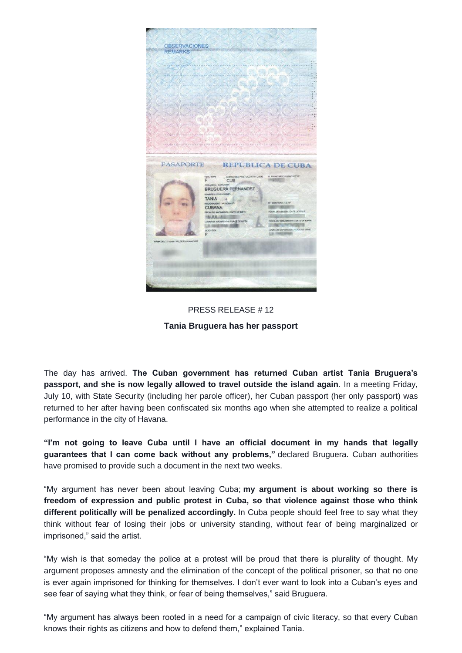

PRESS RELEASE # 12 **Tania Bruguera has her passport**

The day has arrived. **The Cuban government has returned Cuban artist Tania Bruguera's passport, and she is now legally allowed to travel outside the island again**. In a meeting Friday, July 10, with State Security (including her parole officer), her Cuban passport (her only passport) was returned to her after having been confiscated six months ago when she attempted to realize a political performance in the city of Havana.

**"I'm not going to leave Cuba until I have an official document in my hands that legally guarantees that I can come back without any problems,"** declared Bruguera. Cuban authorities have promised to provide such a document in the next two weeks.

"My argument has never been about leaving Cuba; **my argument is about working so there is freedom of expression and public protest in Cuba, so that violence against those who think different politically will be penalized accordingly.** In Cuba people should feel free to say what they think without fear of losing their jobs or university standing, without fear of being marginalized or imprisoned," said the artist.

"My wish is that someday the police at a protest will be proud that there is plurality of thought. My argument proposes amnesty and the elimination of the concept of the political prisoner, so that no one is ever again imprisoned for thinking for themselves. I don't ever want to look into a Cuban's eyes and see fear of saying what they think, or fear of being themselves," said Bruguera.

"My argument has always been rooted in a need for a campaign of civic literacy, so that every Cuban knows their rights as citizens and how to defend them," explained Tania.